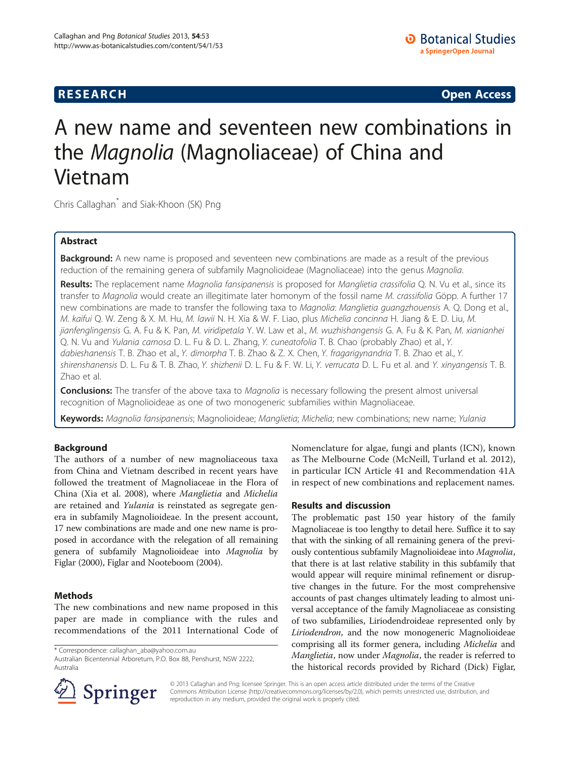**RESEARCH CHINESE ARCH CHINESE ARCH CHINESE ARCH <b>CHINESE ARCH** 

# A new name and seventeen new combinations in the Magnolia (Magnoliaceae) of China and Vietnam

Chris Callaghan\* and Siak-Khoon (SK) Png

# Abstract

Background: A new name is proposed and seventeen new combinations are made as a result of the previous reduction of the remaining genera of subfamily Magnolioideae (Magnoliaceae) into the genus Magnolia.

Results: The replacement name Magnolia fansipanensis is proposed for Manglietia crassifolia Q. N. Vu et al., since its transfer to Magnolia would create an illegitimate later homonym of the fossil name M. crassifolia Göpp. A further 17 new combinations are made to transfer the following taxa to Magnolia: Manglietia guangzhouensis A. Q. Dong et al., M. kaifui Q. W. Zeng & X. M. Hu, M. lawii N. H. Xia & W. F. Liao, plus Michelia concinna H. Jiang & E. D. Liu, M. jianfenglingensis G. A. Fu & K. Pan, M. viridipetala Y. W. Law et al., M. wuzhishangensis G. A. Fu & K. Pan, M. xianianhei Q. N. Vu and Yulania carnosa D. L. Fu & D. L. Zhang, Y. cuneatofolia T. B. Chao (probably Zhao) et al., Y. dabieshanensis T. B. Zhao et al., Y. dimorpha T. B. Zhao & Z. X. Chen, Y. fragarigynandria T. B. Zhao et al., Y. shirenshanensis D. L. Fu & T. B. Zhao, Y. shizhenii D. L. Fu & F. W. Li, Y. verrucata D. L. Fu et al. and Y. xinyangensis T. B. Zhao et al.

**Conclusions:** The transfer of the above taxa to *Magnolia* is necessary following the present almost universal recognition of Magnolioideae as one of two monogeneric subfamilies within Magnoliaceae.

Keywords: Magnolia fansipanensis; Magnolioideae; Manglietia; Michelia; new combinations; new name; Yulania

# Background

The authors of a number of new magnoliaceous taxa from China and Vietnam described in recent years have followed the treatment of Magnoliaceae in the Flora of China (Xia et al. [2008\)](#page-4-0), where Manglietia and Michelia are retained and Yulania is reinstated as segregate genera in subfamily Magnolioideae. In the present account, 17 new combinations are made and one new name is proposed in accordance with the relegation of all remaining genera of subfamily Magnolioideae into Magnolia by Figlar ([2000](#page-3-0)), Figlar and Nooteboom [\(2004](#page-3-0)).

# Methods

The new combinations and new name proposed in this paper are made in compliance with the rules and recommendations of the 2011 International Code of

\* Correspondence: [callaghan\\_aba@yahoo.com.au](mailto:callaghan_aba@yahoo.com.au)

Nomenclature for algae, fungi and plants (ICN), known as The Melbourne Code (McNeill, Turland et al. [2012](#page-3-0)), in particular ICN Article 41 and Recommendation 41A in respect of new combinations and replacement names.

# Results and discussion

The problematic past 150 year history of the family Magnoliaceae is too lengthy to detail here. Suffice it to say that with the sinking of all remaining genera of the previously contentious subfamily Magnolioideae into Magnolia, that there is at last relative stability in this subfamily that would appear will require minimal refinement or disruptive changes in the future. For the most comprehensive accounts of past changes ultimately leading to almost universal acceptance of the family Magnoliaceae as consisting of two subfamilies, Liriodendroideae represented only by Liriodendron, and the now monogeneric Magnolioideae comprising all its former genera, including Michelia and Manglietia, now under Magnolia, the reader is referred to the historical records provided by Richard (Dick) Figlar,



© 2013 Callaghan and Png; licensee Springer. This is an open access article distributed under the terms of the Creative Commons Attribution License (<http://creativecommons.org/licenses/by/2.0>), which permits unrestricted use, distribution, and reproduction in any medium, provided the original work is properly cited.

Australian Bicentennial Arboretum, P.O. Box 88, Penshurst, NSW 2222, Australia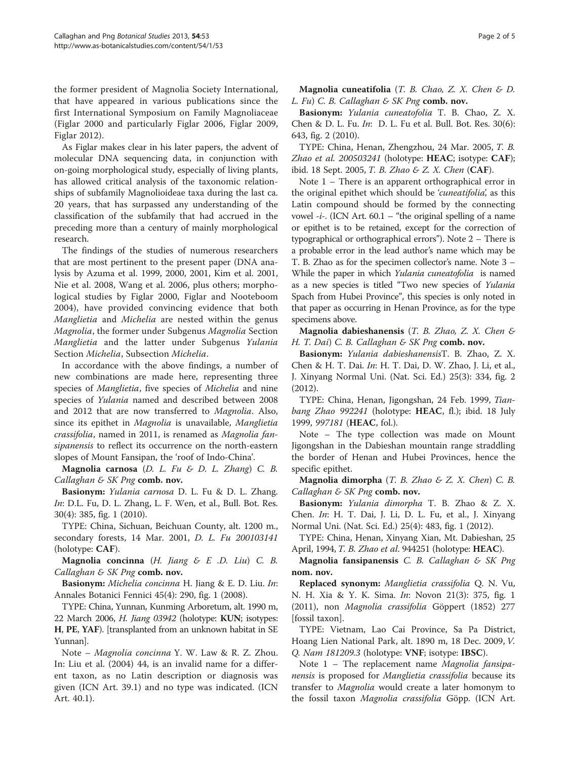the former president of Magnolia Society International, that have appeared in various publications since the first International Symposium on Family Magnoliaceae (Figlar [2000](#page-3-0) and particularly Figlar [2006](#page-3-0), Figlar [2009](#page-3-0), Figlar [2012](#page-3-0)).

As Figlar makes clear in his later papers, the advent of molecular DNA sequencing data, in conjunction with on-going morphological study, especially of living plants, has allowed critical analysis of the taxonomic relationships of subfamily Magnolioideae taxa during the last ca. 20 years, that has surpassed any understanding of the classification of the subfamily that had accrued in the preceding more than a century of mainly morphological research.

The findings of the studies of numerous researchers that are most pertinent to the present paper (DNA analysis by Azuma et al. [1999](#page-3-0), [2000, 2001](#page-3-0), Kim et al. [2001](#page-3-0), Nie et al. [2008,](#page-3-0) Wang et al. [2006](#page-4-0), plus others; morphological studies by Figlar [2000](#page-3-0), Figlar and Nooteboom [2004\)](#page-3-0), have provided convincing evidence that both Manglietia and Michelia are nested within the genus Magnolia, the former under Subgenus Magnolia Section Manglietia and the latter under Subgenus Yulania Section Michelia, Subsection Michelia.

In accordance with the above findings, a number of new combinations are made here, representing three species of Manglietia, five species of Michelia and nine species of Yulania named and described between 2008 and 2012 that are now transferred to Magnolia. Also, since its epithet in Magnolia is unavailable, Manglietia crassifolia, named in 2011, is renamed as Magnolia fansipanensis to reflect its occurrence on the north-eastern slopes of Mount Fansipan, the 'roof of Indo-China'.

Magnolia carnosa (D. L. Fu & D. L. Zhang) C. B. Callaghan & SK Png comb. nov.

Basionym: Yulania carnosa D. L. Fu & D. L. Zhang. In: D.L. Fu, D. L. Zhang, L. F. Wen, et al., Bull. Bot. Res. 30(4): 385, fig. 1 ([2010\)](#page-3-0).

TYPE: China, Sichuan, Beichuan County, alt. 1200 m., secondary forests, 14 Mar. 2001, D. L. Fu 200103141 (holotype: CAF).

Magnolia concinna  $(H.$  Jiang  $\& E.$  D. Liu) C. B. Callaghan & SK Png comb. nov.

**Basionym:** Michelia concinna H. Jiang & E. D. Liu. In: Annales Botanici Fennici 45(4): 290, fig. 1 ([2008\)](#page-3-0).

TYPE: China, Yunnan, Kunming Arboretum, alt. 1990 m, 22 March 2006, H. Jiang 03942 (holotype: KUN; isotypes: H, PE, YAF). [transplanted from an unknown habitat in SE Yunnan].

Note – Magnolia concinna Y. W. Law & R. Z. Zhou. In: Liu et al. ([2004\)](#page-3-0) 44, is an invalid name for a different taxon, as no Latin description or diagnosis was given (ICN Art. 39.1) and no type was indicated. (ICN Art. 40.1).

Magnolia cuneatifolia (T. B. Chao, Z. X. Chen & D. L. Fu) C. B. Callaghan & SK Png comb. nov.

Basionym: Yulania cuneatofolia T. B. Chao, Z. X. Chen & D. L. Fu. In: D. L. Fu et al. Bull. Bot. Res. 30(6): 643, fig. 2 ([2010](#page-3-0)).

TYPE: China, Henan, Zhengzhou, 24 Mar. 2005, T. B. Zhao et al. 200503241 (holotype: HEAC; isotype: CAF); ibid. 18 Sept. 2005, T. B. Zhao & Z. X. Chen (CAF).

Note 1 – There is an apparent orthographical error in the original epithet which should be 'cuneatifolia', as this Latin compound should be formed by the connecting vowel -i-. (ICN Art.  $60.1$  – "the original spelling of a name or epithet is to be retained, except for the correction of typographical or orthographical errors"). Note 2 – There is a probable error in the lead author's name which may be T. B. Zhao as for the specimen collector's name. Note 3 – While the paper in which Yulania cuneatofolia is named as a new species is titled "Two new species of Yulania Spach from Hubei Province", this species is only noted in that paper as occurring in Henan Province, as for the type specimens above.

Magnolia dabieshanensis (T. B. Zhao, Z. X. Chen & H. T. Dai) C. B. Callaghan & SK Png comb. nov.

Basionym: Yulania dabieshanensisT. B. Zhao, Z. X. Chen & H. T. Dai. In: H. T. Dai, D. W. Zhao, J. Li, et al., J. Xinyang Normal Uni. (Nat. Sci. Ed.) 25(3): 334, fig. 2 ([2012\)](#page-3-0).

TYPE: China, Henan, Jigongshan, 24 Feb. 1999, Tianbang Zhao 992241 (holotype: HEAC, fl.); ibid. 18 July 1999, 997181 (HEAC, fol.).

Note – The type collection was made on Mount Jigongshan in the Dabieshan mountain range straddling the border of Henan and Hubei Provinces, hence the specific epithet.

Magnolia dimorpha  $(T. B. Zhao \& Z. X. Chen) C. B.$ Callaghan & SK Png comb. nov.

Basionym: Yulania dimorpha T. B. Zhao & Z. X. Chen. In: H. T. Dai, J. Li, D. L. Fu, et al., J. Xinyang Normal Uni. (Nat. Sci. Ed.) 25(4): 483, fig. 1 (2012).

TYPE: China, Henan, Xinyang Xian, Mt. Dabieshan, 25 April, 1994, T. B. Zhao et al. 944251 (holotype: HEAC).

Magnolia fansipanensis C. B. Callaghan  $\mathcal E$  SK Png nom. nov.

Replaced synonym: Manglietia crassifolia Q. N. Vu, N. H. Xia & Y. K. Sima. In: Novon 21(3): 375, fig. 1 ([2011\)](#page-4-0), non Magnolia crassifolia Göppert [\(1852\)](#page-3-0) 277 [fossil taxon].

TYPE: Vietnam, Lao Cai Province, Sa Pa District, Hoang Lien National Park, alt. 1890 m, 18 Dec. 2009, V. Q. Nam 181209.3 (holotype: VNF; isotype: IBSC).

Note 1 – The replacement name Magnolia fansipanensis is proposed for Manglietia crassifolia because its transfer to Magnolia would create a later homonym to the fossil taxon Magnolia crassifolia Göpp. (ICN Art.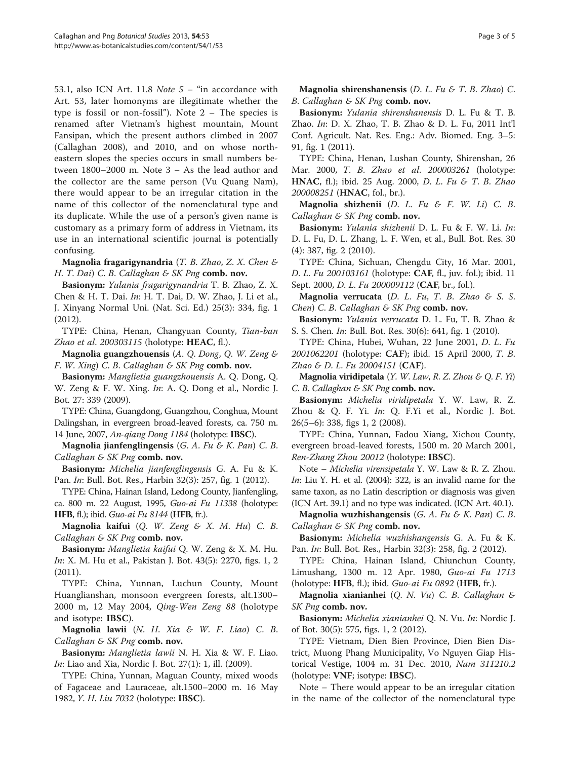53.1, also ICN Art. 11.8 Note 5 – "in accordance with Art. 53, later homonyms are illegitimate whether the type is fossil or non-fossil"). Note 2 – The species is renamed after Vietnam's highest mountain, Mount Fansipan, which the present authors climbed in 2007 (Callaghan [2008\)](#page-3-0), and 2010, and on whose northeastern slopes the species occurs in small numbers between 1800–2000 m. Note 3 – As the lead author and the collector are the same person (Vu Quang Nam), there would appear to be an irregular citation in the name of this collector of the nomenclatural type and its duplicate. While the use of a person's given name is customary as a primary form of address in Vietnam, its use in an international scientific journal is potentially confusing.

Magnolia fragarigynandria (T. B. Zhao, Z. X. Chen & H. T. Dai) C. B. Callaghan & SK Png comb. nov.

Basionym: Yulania fragarigynandria T. B. Zhao, Z. X. Chen & H. T. Dai. In: H. T. Dai, D. W. Zhao, J. Li et al., J. Xinyang Normal Uni. (Nat. Sci. Ed.) 25(3): 334, fig. 1 (2012).

TYPE: China, Henan, Changyuan County, Tian-ban Zhao et al. 200303115 (holotype: HEAC, fl.).

Magnolia guangzhouensis (A. Q. Dong, Q. W. Zeng & F. W. Xing) C. B. Callaghan & SK Png comb. nov.

Basionym: Manglietia guangzhouensis A. Q. Dong, Q. W. Zeng & F. W. Xing. In: A. Q. Dong et al., Nordic J. Bot. 27: 339 ([2009](#page-3-0)).

TYPE: China, Guangdong, Guangzhou, Conghua, Mount Dalingshan, in evergreen broad-leaved forests, ca. 750 m. 14 June, 2007, An-qiang Dong 1184 (holotype: IBSC).

Magnolia jianfenglingensis  $(G. A. Fu & K. Pan) C. B.$ Callaghan & SK Png comb. nov.

Basionym: Michelia jianfenglingensis G. A. Fu & K. Pan. In: Bull. Bot. Res., Harbin 32(3): 257, fig. 1 ([2012](#page-3-0)).

TYPE: China, Hainan Island, Ledong County, Jianfengling, ca. 800 m. 22 August, 1995, Guo-ai Fu 11338 (holotype: HFB, fl.); ibid. Guo-ai Fu 8144 (HFB, fr.).

Magnolia kaifui (Q. W. Zeng & X. M. Hu) C. B. Callaghan  $\&$  SK Png comb. nov.

Basionym: Manglietia kaifui Q. W. Zeng & X. M. Hu. In: X. M. Hu et al., Pakistan J. Bot. 43(5): 2270, figs. 1, 2 ([2011](#page-3-0)).

TYPE: China, Yunnan, Luchun County, Mount Huanglianshan, monsoon evergreen forests, alt.1300– 2000 m, 12 May 2004, Qing-Wen Zeng 88 (holotype and isotype: IBSC).

Magnolia lawii  $(N. H. Xia \& W. F. Liao) C. B.$ Callaghan & SK Png comb. nov.

Basionym: Manglietia lawii N. H. Xia & W. F. Liao. In: Liao and Xia, Nordic J. Bot. 27(1): 1, ill. ([2009](#page-3-0)).

TYPE: China, Yunnan, Maguan County, mixed woods of Fagaceae and Lauraceae, alt.1500–2000 m. 16 May 1982, Y. H. Liu 7032 (holotype: IBSC).

Magnolia shirenshanensis (D. L. Fu & T. B. Zhao) C. B. Callaghan & SK Png comb. nov.

Basionym: Yulania shirenshanensis D. L. Fu & T. B. Zhao. In: D. X. Zhao, T. B. Zhao & D. L. Fu, [2011](#page-4-0) Int'l Conf. Agricult. Nat. Res. Eng.: Adv. Biomed. Eng. 3–5: 91, fig. 1 (2011).

TYPE: China, Henan, Lushan County, Shirenshan, 26 Mar. 2000, T. B. Zhao et al. 200003261 (holotype: HNAC, fl.); ibid. 25 Aug. 2000, D. L. Fu & T. B. Zhao 200008251 (HNAC, fol., br.).

Magnolia shizhenii  $(D. L. Fu & F. W. Li) C. B.$ Callaghan & SK Png comb. nov.

Basionym: Yulania shizhenii D. L. Fu & F. W. Li. In: D. L. Fu, D. L. Zhang, L. F. Wen, et al., Bull. Bot. Res. 30 (4): 387, fig. 2 (2010).

TYPE: China, Sichuan, Chengdu City, 16 Mar. 2001, D. L. Fu 200103161 (holotype: CAF, fl., juv. fol.); ibid. 11 Sept. 2000, *D. L. Fu 200009112* (CAF, br., fol.).

Magnolia verrucata (D. L. Fu, T. B. Zhao & S. S. Chen) C. B. Callaghan & SK Png comb. nov.

Basionym: Yulania verrucata D. L. Fu, T. B. Zhao & S. S. Chen. In: Bull. Bot. Res. 30(6): 641, fig. 1 [\(2010](#page-3-0)).

TYPE: China, Hubei, Wuhan, 22 June 2001, D. L. Fu 2001062201 (holotype: CAF); ibid. 15 April 2000, T. B. Zhao & D. L. Fu 20004151 (CAF).

Magnolia viridipetala  $(Y. W. Law, R. Z. Zhou & Q. F. Yi)$ C. B. Callaghan & SK Png comb. nov.

Basionym: Michelia viridipetala Y. W. Law, R. Z. Zhou & Q. F. Yi. In: Q. F.Yi et al., Nordic J. Bot. 26(5–6): 338, figs 1, 2 [\(2008](#page-4-0)).

TYPE: China, Yunnan, Fadou Xiang, Xichou County, evergreen broad-leaved forests, 1500 m. 20 March 2001, Ren-Zhang Zhou 20012 (holotype: IBSC).

Note – Michelia virensipetala Y. W. Law & R. Z. Zhou. *In*: Liu Y. H. et al.  $(2004)$  $(2004)$ : 322, is an invalid name for the same taxon, as no Latin description or diagnosis was given (ICN Art. 39.1) and no type was indicated. (ICN Art. 40.1).

Magnolia wuzhishangensis (G. A. Fu & K. Pan) C. B. Callaghan & SK Png comb. nov.

Basionym: Michelia wuzhishangensis G. A. Fu & K. Pan. *In*: Bull. Bot. Res., Harbin 32(3): 258, fig. 2 (2012).

TYPE: China, Hainan Island, Chiunchun County, Limushang, 1300 m. 12 Apr. 1980, Guo-ai Fu 1713 (holotype:  $HFB$ , fl.); ibid.  $Guo-ai Fu$  0892 ( $HFB$ , fr.).

Magnolia xianianhei  $(Q. N. Vu)$  C. B. Callaghan & SK Png comb. nov.

Basionym: Michelia xianianhei Q. N. Vu. In: Nordic J. of Bot. 30(5): 575, figs. 1, 2 ([2012](#page-4-0)).

TYPE: Vietnam, Dien Bien Province, Dien Bien District, Muong Phang Municipality, Vo Nguyen Giap Historical Vestige, 1004 m. 31 Dec. 2010, Nam 311210.2 (holotype: VNF; isotype: IBSC).

Note – There would appear to be an irregular citation in the name of the collector of the nomenclatural type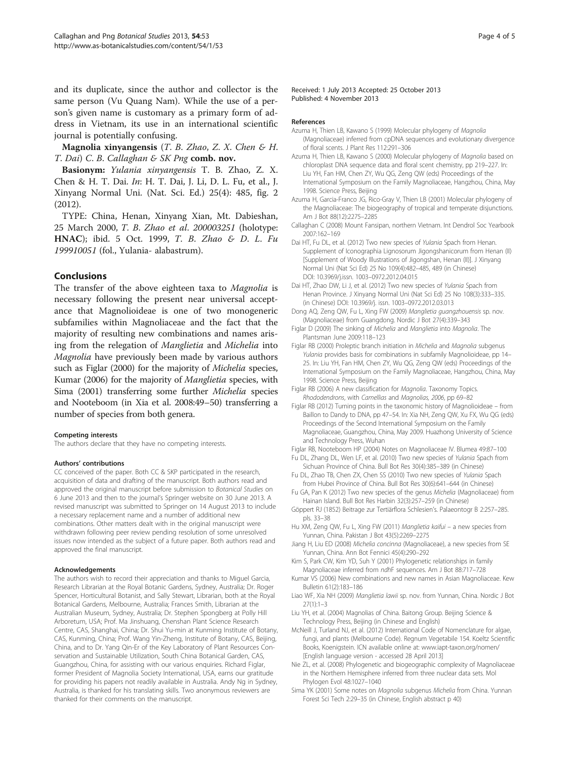<span id="page-3-0"></span>and its duplicate, since the author and collector is the same person (Vu Quang Nam). While the use of a person's given name is customary as a primary form of address in Vietnam, its use in an international scientific journal is potentially confusing.

Magnolia xinyangensis  $(T. B. Zhao, Z. X. Chen & H.$ T. Dai) C. B. Callaghan & SK Png comb. nov.

Basionym: Yulania xinyangensis T. B. Zhao, Z. X. Chen & H. T. Dai. In: H. T. Dai, J. Li, D. L. Fu, et al., J. Xinyang Normal Uni. (Nat. Sci. Ed.) 25(4): 485, fig. 2 (2012).

TYPE: China, Henan, Xinyang Xian, Mt. Dabieshan, 25 March 2000, T. B. Zhao et al. 200003251 (holotype: HNAC); ibid. 5 Oct. 1999, T. B. Zhao & D. L. Fu 199910051 (fol., Yulania- alabastrum).

# Conclusions

The transfer of the above eighteen taxa to Magnolia is necessary following the present near universal acceptance that Magnolioideae is one of two monogeneric subfamilies within Magnoliaceae and the fact that the majority of resulting new combinations and names arising from the relegation of Manglietia and Michelia into Magnolia have previously been made by various authors such as Figlar (2000) for the majority of Michelia species, Kumar (2006) for the majority of Manglietia species, with Sima (2001) transferring some further Michelia species and Nooteboom (in Xia et al. [2008:](#page-4-0)49–50) transferring a number of species from both genera.

#### Competing interests

The authors declare that they have no competing interests.

#### Authors' contributions

CC conceived of the paper. Both CC & SKP participated in the research, acquisition of data and drafting of the manuscript. Both authors read and approved the original manuscript before submission to Botanical Studies on 6 June 2013 and then to the journal's Springer website on 30 June 2013. A revised manuscript was submitted to Springer on 14 August 2013 to include a necessary replacement name and a number of additional new combinations. Other matters dealt with in the original manuscript were withdrawn following peer review pending resolution of some unresolved issues now intended as the subject of a future paper. Both authors read and approved the final manuscript.

### Acknowledgements

The authors wish to record their appreciation and thanks to Miguel Garcia, Research Librarian at the Royal Botanic Gardens, Sydney, Australia; Dr. Roger Spencer, Horticultural Botanist, and Sally Stewart, Librarian, both at the Royal Botanical Gardens, Melbourne, Australia; Frances Smith, Librarian at the Australian Museum, Sydney, Australia; Dr. Stephen Spongberg at Polly Hill Arboretum, USA; Prof. Ma Jinshuang, Chenshan Plant Science Research Centre, CAS, Shanghai, China; Dr. Shui Yu-min at Kunming Institute of Botany, CAS, Kunming, China; Prof. Wang Yin-Zheng, Institute of Botany, CAS, Beijing, China, and to Dr. Yang Qin-Er of the Key Laboratory of Plant Resources Conservation and Sustainable Utilization, South China Botanical Garden, CAS, Guangzhou, China, for assisting with our various enquiries. Richard Figlar, former President of Magnolia Society International, USA, earns our gratitude for providing his papers not readily available in Australia. Andy Ng in Sydney, Australia, is thanked for his translating skills. Two anonymous reviewers are thanked for their comments on the manuscript.

Received: 1 July 2013 Accepted: 25 October 2013 Published: 4 November 2013

#### References

- Azuma H, Thien LB, Kawano S (1999) Molecular phylogeny of Magnolia (Magnoliaceae) inferred from cpDNA sequences and evolutionary divergence of floral scents. J Plant Res 112:291–306
- Azuma H, Thien LB, Kawano S (2000) Molecular phylogeny of Magnolia based on chloroplast DNA sequence data and floral scent chemistry, pp 219–227. In: Liu YH, Fan HM, Chen ZY, Wu QG, Zeng QW (eds) Proceedings of the International Symposium on the Family Magnoliaceae, Hangzhou, China, May 1998. Science Press, Beijing
- Azuma H, Garcia-Franco JG, Rico-Gray V, Thien LB (2001) Molecular phylogeny of the Magnoliaceae: The biogeography of tropical and temperate disjunctions. Am J Bot 88(12):2275–2285
- Callaghan C (2008) Mount Fansipan, northern Vietnam. Int Dendrol Soc Yearbook 2007:162–169
- Dai HT, Fu DL, et al. (2012) Two new species of Yulania Spach from Henan. Supplement of Iconographia Lignosorum Jigongshanicorum from Henan (II) [Supplement of Woody Illustrations of Jigongshan, Henan (II)]. J Xinyang Normal Uni (Nat Sci Ed) 25 No 109(4):482–485, 489 (in Chinese) DOI: 10.3969/j.issn. 1003–0972.2012.04.015
- Dai HT, Zhao DW, Li J, et al. (2012) Two new species of Yulania Spach from Henan Province. J Xinyang Normal Uni (Nat Sci Ed) 25 No 108(3):333–335. (in Chinese) DOI: 10.3969/j. issn. 1003–0972.2012.03.013
- Dong AQ, Zeng QW, Fu L, Xing FW (2009) Manglietia guangzhouensis sp. nov. (Magnoliaceae) from Guangdong. Nordic J Bot 27(4):339–343
- Figlar D (2009) The sinking of Michelia and Manglietia into Magnolia. The Plantsman June 2009:118–123
- Figlar RB (2000) Proleptic branch initiation in Michelia and Magnolia subgenus Yulania provides basis for combinations in subfamily Magnolioideae, pp 14– 25. In: Liu YH, Fan HM, Chen ZY, Wu QG, Zeng QW (eds) Proceedings of the International Symposium on the Family Magnoliaceae, Hangzhou, China, May 1998. Science Press, Beijing
- Figlar RB (2006) A new classification for Magnolia. Taxonomy Topics. Rhododendrons, with Camellias and Magnolias, 2006, pp 69–82
- Figlar RB (2012) Turning points in the taxonomic history of Magnolioideae from Baillon to Dandy to DNA, pp 47–54. In: Xia NH, Zeng QW, Xu FX, Wu QG (eds) Proceedings of the Second International Symposium on the Family Magnoliaceae, Guangzhou, China, May 2009. Huazhong University of Science and Technology Press, Wuhan
- Figlar RB, Nooteboom HP (2004) Notes on Magnoliaceae IV. Blumea 49:87–100
- Fu DL, Zhang DL, Wen LF, et al. (2010) Two new species of Yulania Spach from Sichuan Province of China. Bull Bot Res 30(4):385–389 (in Chinese)
- Fu DL, Zhao TB, Chen ZX, Chen SS (2010) Two new species of Yulania Spach from Hubei Province of China. Bull Bot Res 30(6):641–644 (in Chinese)
- Fu GA, Pan K (2012) Two new species of the genus Michelia (Magnoliaceae) from Hainan Island. Bull Bot Res Harbin 32(3):257–259 (in Chinese)
- Göppert RJ (1852) Beitrage zur Tertiärflora Schlesien's. Palaeontogr B 2:257–285. pls. 33–38
- Hu XM, Zeng QW, Fu L, Xing FW (2011) Manglietia kaifui a new species from Yunnan, China. Pakistan J Bot 43(5):2269–2275
- Jiang H, Liu ED (2008) Michelia concinna (Magnoliaceae), a new species from SE Yunnan, China. Ann Bot Fennici 45(4):290–292
- Kim S, Park CW, Kim YD, Suh Y (2001) Phylogenetic relationships in family Magnoliaceae inferred from ndhF sequences. Am J Bot 88:717–728
- Kumar VS (2006) New combinations and new names in Asian Magnoliaceae. Kew Bulletin 61(2):183–186
- Liao WF, Xia NH (2009) Manglietia lawii sp. nov. from Yunnan, China. Nordic J Bot 27(1):1–3
- Liu YH, et al. (2004) Magnolias of China. Baitong Group. Beijing Science & Technology Press, Beijing (in Chinese and English)
- McNeill J, Turland NJ, et al. (2012) International Code of Nomenclature for algae, fungi, and plants (Melbourne Code). Regnum Vegetabile 154. Koeltz Scientific Books, Koenigstein. ICN available online at: [www.iapt-taxon.org/nomen/](http://www.iapt-taxon.org/nomen/) [English language version - accessed 28 April 2013]
- Nie ZL, et al. (2008) Phylogenetic and biogeographic complexity of Magnoliaceae in the Northern Hemisphere inferred from three nuclear data sets. Mol Phylogen Evol 48:1027–1040
- Sima YK (2001) Some notes on Magnolia subgenus Michelia from China. Yunnan Forest Sci Tech 2:29–35 (in Chinese, English abstract p 40)